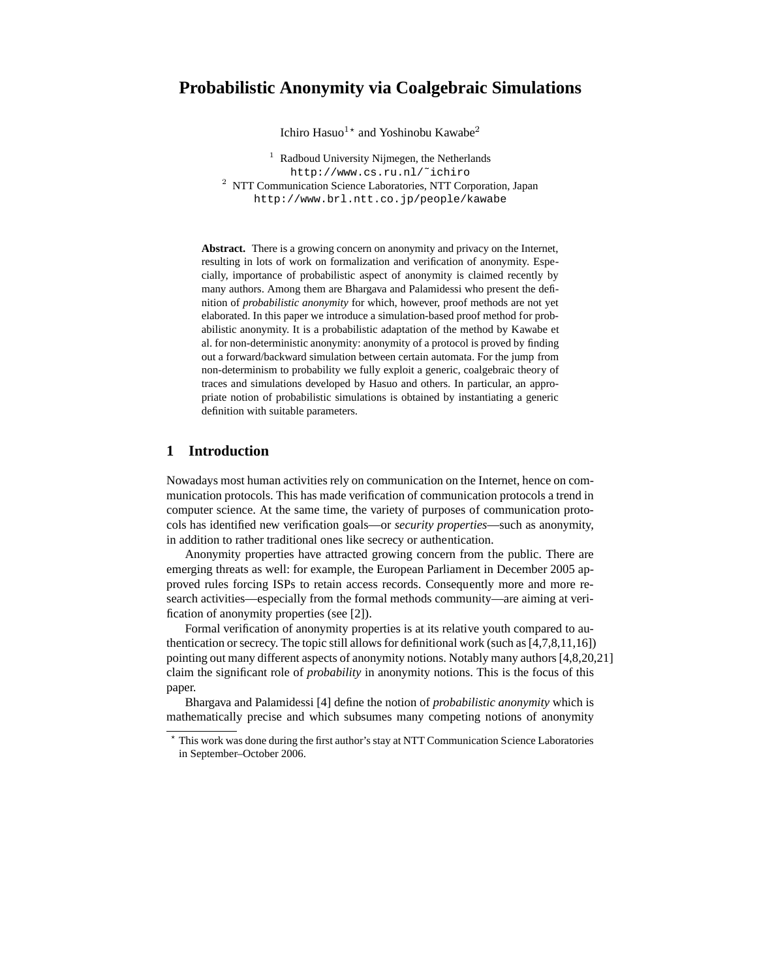# **Probabilistic Anonymity via Coalgebraic Simulations**

Ichiro Hasuo<sup>1</sup><sup>\*</sup> and Yoshinobu Kawabe<sup>2</sup>

 $1$  Radboud University Nijmegen, the Netherlands http://www.cs.ru.nl/˜ichiro <sup>2</sup> NTT Communication Science Laboratories, NTT Corporation, Japan http://www.brl.ntt.co.jp/people/kawabe

Abstract. There is a growing concern on anonymity and privacy on the Internet, resulting in lots of work on formalization and verification of anonymity. Especially, importance of probabilistic aspect of anonymity is claimed recently by many authors. Among them are Bhargava and Palamidessi who present the definition of *probabilistic anonymity* for which, however, proof methods are not yet elaborated. In this paper we introduce a simulation-based proof method for probabilistic anonymity. It is a probabilistic adaptation of the method by Kawabe et al. for non-deterministic anonymity: anonymity of a protocol is proved by finding out a forward/backward simulation between certain automata. For the jump from non-determinism to probability we fully exploit a generic, coalgebraic theory of traces and simulations developed by Hasuo and others. In particular, an appropriate notion of probabilistic simulations is obtained by instantiating a generic definition with suitable parameters.

## **1 Introduction**

Nowadays most human activities rely on communication on the Internet, hence on communication protocols. This has made verification of communication protocols a trend in computer science. At the same time, the variety of purposes of communication protocols has identified new verification goals—or *security properties*—such as anonymity, in addition to rather traditional ones like secrecy or authentication.

Anonymity properties have attracted growing concern from the public. There are emerging threats as well: for example, the European Parliament in December 2005 approved rules forcing ISPs to retain access records. Consequently more and more research activities—especially from the formal methods community—are aiming at verification of anonymity properties (see [2]).

Formal verification of anonymity properties is at its relative youth compared to authentication or secrecy. The topic still allows for definitional work (such as [4,7,8,11,16]) pointing out many different aspects of anonymity notions. Notably many authors [4,8,20,21] claim the significant role of *probability* in anonymity notions. This is the focus of this paper.

Bhargava and Palamidessi [4] define the notion of *probabilistic anonymity* which is mathematically precise and which subsumes many competing notions of anonymity

<sup>⋆</sup> This work was done during the first author's stay at NTT Communication Science Laboratories in September–October 2006.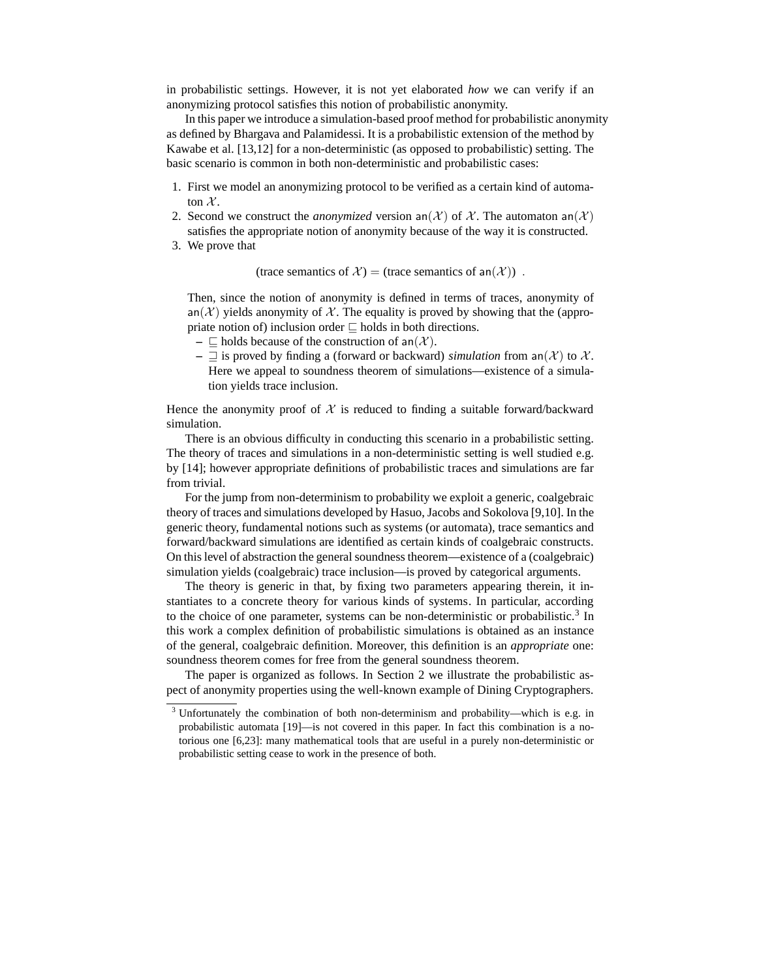in probabilistic settings. However, it is not yet elaborated *how* we can verify if an anonymizing protocol satisfies this notion of probabilistic anonymity.

In this paper we introduce a simulation-based proof method for probabilistic anonymity as defined by Bhargava and Palamidessi. It is a probabilistic extension of the method by Kawabe et al. [13,12] for a non-deterministic (as opposed to probabilistic) setting. The basic scenario is common in both non-deterministic and probabilistic cases:

- 1. First we model an anonymizing protocol to be verified as a certain kind of automaton  $\mathcal{X}$ .
- 2. Second we construct the *anonymized* version an(X) of X. The automaton an(X) satisfies the appropriate notion of anonymity because of the way it is constructed.
- 3. We prove that

(trace semantics of  $\mathcal{X}$ ) = (trace semantics of an $(\mathcal{X})$ ).

Then, since the notion of anonymity is defined in terms of traces, anonymity of an(X) yields anonymity of X. The equality is proved by showing that the (appropriate notion of) inclusion order ⊑ holds in both directions.

- $− ⊆$  holds because of the construction of an( $X$ ).
- $-$  □ is proved by finding a (forward or backward) *simulation* from an(X) to X. Here we appeal to soundness theorem of simulations—existence of a simulation yields trace inclusion.

Hence the anonymity proof of  $X$  is reduced to finding a suitable forward/backward simulation.

There is an obvious difficulty in conducting this scenario in a probabilistic setting. The theory of traces and simulations in a non-deterministic setting is well studied e.g. by [14]; however appropriate definitions of probabilistic traces and simulations are far from trivial.

For the jump from non-determinism to probability we exploit a generic, coalgebraic theory of traces and simulations developed by Hasuo, Jacobs and Sokolova [9,10]. In the generic theory, fundamental notions such as systems (or automata), trace semantics and forward/backward simulations are identified as certain kinds of coalgebraic constructs. On this level of abstraction the general soundness theorem—existence of a (coalgebraic) simulation yields (coalgebraic) trace inclusion—is proved by categorical arguments.

The theory is generic in that, by fixing two parameters appearing therein, it instantiates to a concrete theory for various kinds of systems. In particular, according to the choice of one parameter, systems can be non-deterministic or probabilistic.<sup>3</sup> In this work a complex definition of probabilistic simulations is obtained as an instance of the general, coalgebraic definition. Moreover, this definition is an *appropriate* one: soundness theorem comes for free from the general soundness theorem.

The paper is organized as follows. In Section 2 we illustrate the probabilistic aspect of anonymity properties using the well-known example of Dining Cryptographers.

<sup>3</sup> Unfortunately the combination of both non-determinism and probability—which is e.g. in probabilistic automata [19]—is not covered in this paper. In fact this combination is a notorious one [6,23]: many mathematical tools that are useful in a purely non-deterministic or probabilistic setting cease to work in the presence of both.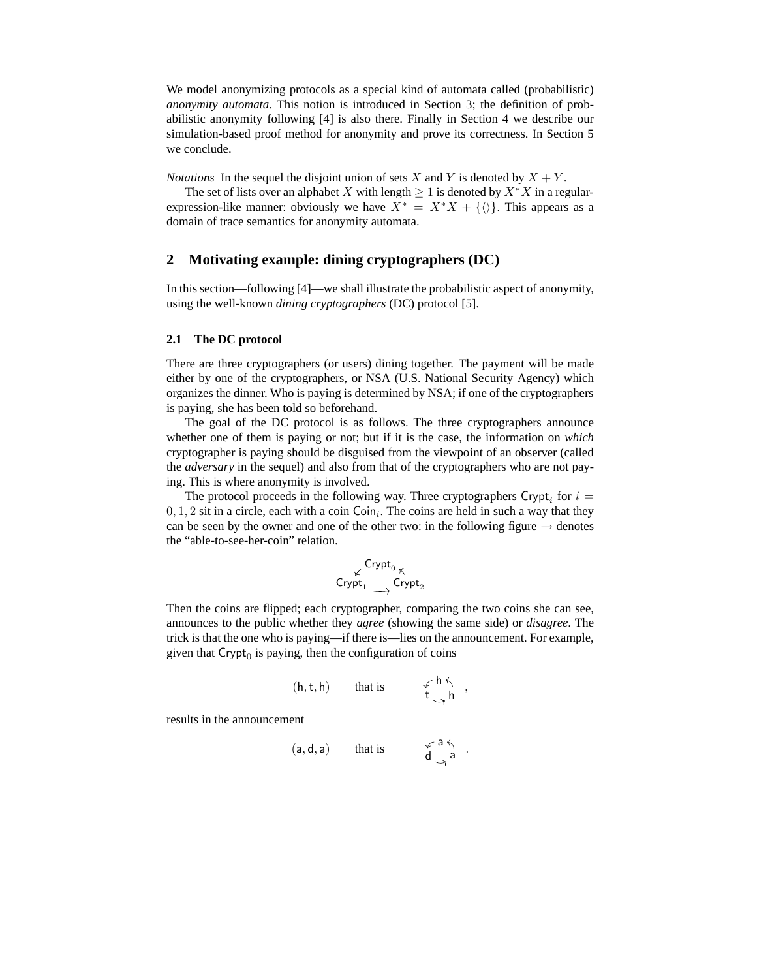We model anonymizing protocols as a special kind of automata called (probabilistic) *anonymity automata*. This notion is introduced in Section 3; the definition of probabilistic anonymity following [4] is also there. Finally in Section 4 we describe our simulation-based proof method for anonymity and prove its correctness. In Section 5 we conclude.

*Notations* In the sequel the disjoint union of sets X and Y is denoted by  $X + Y$ .

The set of lists over an alphabet X with length  $\geq 1$  is denoted by  $X^*X$  in a regularexpression-like manner: obviously we have  $X^* = X^*X + \{\langle\rangle\}.$  This appears as a domain of trace semantics for anonymity automata.

## **2 Motivating example: dining cryptographers (DC)**

In this section—following [4]—we shall illustrate the probabilistic aspect of anonymity, using the well-known *dining cryptographers* (DC) protocol [5].

### **2.1 The DC protocol**

There are three cryptographers (or users) dining together. The payment will be made either by one of the cryptographers, or NSA (U.S. National Security Agency) which organizes the dinner. Who is paying is determined by NSA; if one of the cryptographers is paying, she has been told so beforehand.

The goal of the DC protocol is as follows. The three cryptographers announce whether one of them is paying or not; but if it is the case, the information on *which* cryptographer is paying should be disguised from the viewpoint of an observer (called the *adversary* in the sequel) and also from that of the cryptographers who are not paying. This is where anonymity is involved.

The protocol proceeds in the following way. Three cryptographers  $Crypt_i$  for  $i =$  $0, 1, 2$  sit in a circle, each with a coin  $\text{Coin}_i$ . The coins are held in such a way that they can be seen by the owner and one of the other two: in the following figure  $\rightarrow$  denotes the "able-to-see-her-coin" relation.

$$
\begin{array}{cc}\n\swarrow^{\mathsf{Crypt}_0}\nwarrow\\{\mathsf{Crypt}_1}\searrow^{\mathsf{Crypt}_2}\n\end{array}
$$

Then the coins are flipped; each cryptographer, comparing the two coins she can see, announces to the public whether they *agree* (showing the same side) or *disagree*. The trick is that the one who is paying—if there is—lies on the announcement. For example, given that  $Crypt<sub>0</sub>$  is paying, then the configuration of coins

(h, t, h) that is 
$$
\begin{array}{cc} \n\begin{array}{ccc} & t & h \\ & t & h \end{array} \\
\downarrow & \downarrow & \downarrow\n\end{array}
$$

,

.

results in the announcement

$$
(a,d,a) \qquad \text{that is} \qquad \begin{array}{c} \begin{array}{c} \curvearrowleft a \end{array} \\ \begin{array}{c} d \\ \end{array} \end{array}
$$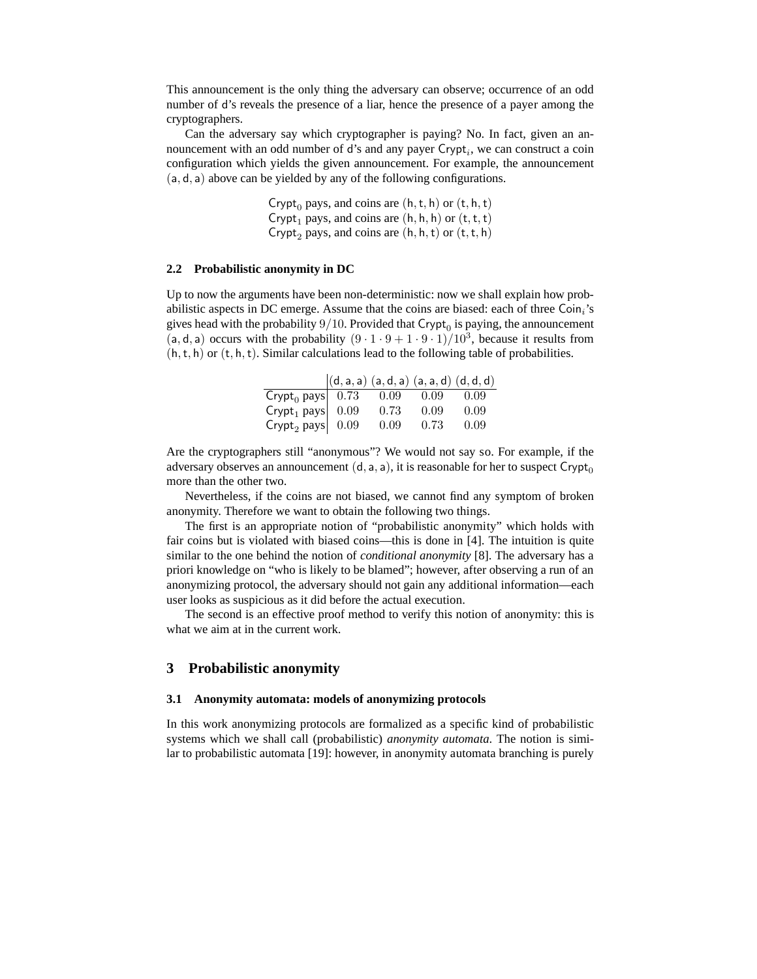This announcement is the only thing the adversary can observe; occurrence of an odd number of d's reveals the presence of a liar, hence the presence of a payer among the cryptographers.

Can the adversary say which cryptographer is paying? No. In fact, given an announcement with an odd number of d's and any payer  $Crypt_i$ , we can construct a coin configuration which yields the given announcement. For example, the announcement (a, d, a) above can be yielded by any of the following configurations.

> Crypt<sub>0</sub> pays, and coins are  $(h, t, h)$  or  $(t, h, t)$ Crypt<sub>1</sub> pays, and coins are  $(h, h, h)$  or  $(t, t, t)$ Crypt<sub>2</sub> pays, and coins are  $(h, h, t)$  or  $(t, t, h)$

#### **2.2 Probabilistic anonymity in DC**

Up to now the arguments have been non-deterministic: now we shall explain how probabilistic aspects in DC emerge. Assume that the coins are biased: each of three  $Coin<sub>i</sub>'s$ gives head with the probability  $9/10$ . Provided that Crypt<sub>0</sub> is paying, the announcement (a, d, a) occurs with the probability  $(9 \cdot 1 \cdot 9 + 1 \cdot 9 \cdot 1)/10^3$ , because it results from  $(h, t, h)$  or  $(t, h, t)$ . Similar calculations lead to the following table of probabilities.

|                                                              |      |      | $ (d, a, a)$ $(a, d, a)$ $(a, a, d)$ $(d, d, d)$ |
|--------------------------------------------------------------|------|------|--------------------------------------------------|
| $Crypt_0$ pays $\begin{vmatrix} 0.73 \end{vmatrix}$          | 0.09 | 0.09 | 0.09                                             |
| $Crypt1$ pays $\vert 0.09 \vert$                             | 0.73 | 0.09 | 0.09                                             |
| Crypt <sub>2</sub> pays $\begin{bmatrix} 0.09 \end{bmatrix}$ | 0.09 | 0.73 | 0.09                                             |

Are the cryptographers still "anonymous"? We would not say so. For example, if the adversary observes an announcement  $(d, a, a)$ , it is reasonable for her to suspect Crypt<sub>0</sub> more than the other two.

Nevertheless, if the coins are not biased, we cannot find any symptom of broken anonymity. Therefore we want to obtain the following two things.

The first is an appropriate notion of "probabilistic anonymity" which holds with fair coins but is violated with biased coins—this is done in [4]. The intuition is quite similar to the one behind the notion of *conditional anonymity* [8]. The adversary has a priori knowledge on "who is likely to be blamed"; however, after observing a run of an anonymizing protocol, the adversary should not gain any additional information—each user looks as suspicious as it did before the actual execution.

The second is an effective proof method to verify this notion of anonymity: this is what we aim at in the current work.

### **3 Probabilistic anonymity**

#### **3.1 Anonymity automata: models of anonymizing protocols**

In this work anonymizing protocols are formalized as a specific kind of probabilistic systems which we shall call (probabilistic) *anonymity automata*. The notion is similar to probabilistic automata [19]: however, in anonymity automata branching is purely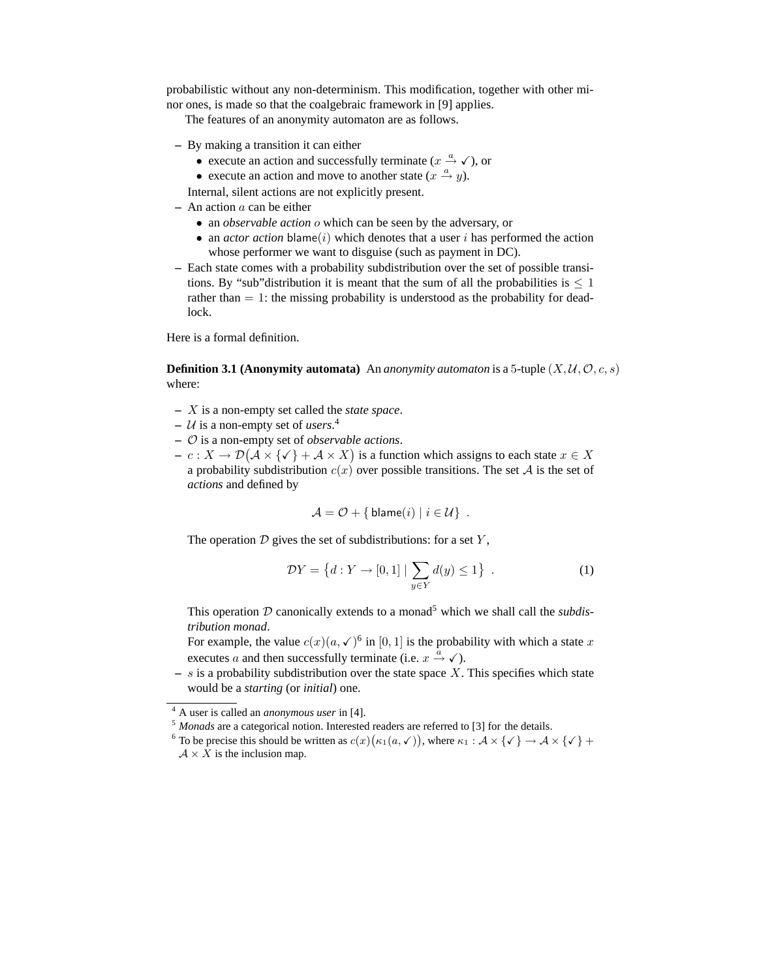probabilistic without any non-determinism. This modification, together with other minor ones, is made so that the coalgebraic framework in [9] applies.

The features of an anonymity automaton are as follows.

- **–** By making a transition it can either
	- execute an action and successfully terminate  $(x \stackrel{a}{\rightarrow} \checkmark)$ , or
	- execute an action and move to another state  $(x \stackrel{a}{\rightarrow} y)$ .

Internal, silent actions are not explicitly present.

- **–** An action a can be either
	- an *observable action* o which can be seen by the adversary, or
	- an *actor action* blame( $i$ ) which denotes that a user  $i$  has performed the action whose performer we want to disguise (such as payment in DC).
- **–** Each state comes with a probability subdistribution over the set of possible transitions. By "sub" distribution it is meant that the sum of all the probabilities is  $\leq 1$ rather than  $= 1$ : the missing probability is understood as the probability for deadlock.

Here is a formal definition.

**Definition 3.1 (Anonymity automata)** An *anonymity automaton* is a 5-tuple  $(X, \mathcal{U}, \mathcal{O}, c, s)$ where:

- **–** X is a non-empty set called the *state space*.
- **–** U is a non-empty set of *users*. 4
- **–** O is a non-empty set of *observable actions*.
- $c : X \to \mathcal{D}(\mathcal{A} \times {\{\sqrt} } + \mathcal{A} \times X)$  is a function which assigns to each state  $x \in X$ a probability subdistribution  $c(x)$  over possible transitions. The set A is the set of *actions* and defined by

$$
\mathcal{A} = \mathcal{O} + \{\, \textsf{blame}(i) \mid i \in \mathcal{U} \} \ \ .
$$

The operation  $D$  gives the set of subdistributions: for a set Y,

$$
\mathcal{D}Y = \{d: Y \to [0,1] \mid \sum_{y \in Y} d(y) \le 1\} .
$$
 (1)

This operation  $D$  canonically extends to a monad<sup>5</sup> which we shall call the *subdistribution monad*.

For example, the value  $c(x)(a, \checkmark)^6$  in  $[0, 1]$  is the probability with which a state x executes a and then successfully terminate (i.e.  $x \stackrel{a}{\rightarrow} \checkmark$ ).

 $-$  s is a probability subdistribution over the state space X. This specifies which state would be a *starting* (or *initial*) one.

<sup>4</sup> A user is called an *anonymous user* in [4].

<sup>5</sup> *Monads* are a categorical notion. Interested readers are referred to [3] for the details.

<sup>&</sup>lt;sup>6</sup> To be precise this should be written as  $c(x)(\kappa_1(a,\checkmark))$ , where  $\kappa_1 : \mathcal{A} \times {\checkmark} {\checkmark} \to \mathcal{A} \times {\checkmark} {\checkmark} \}$  $A \times X$  is the inclusion map.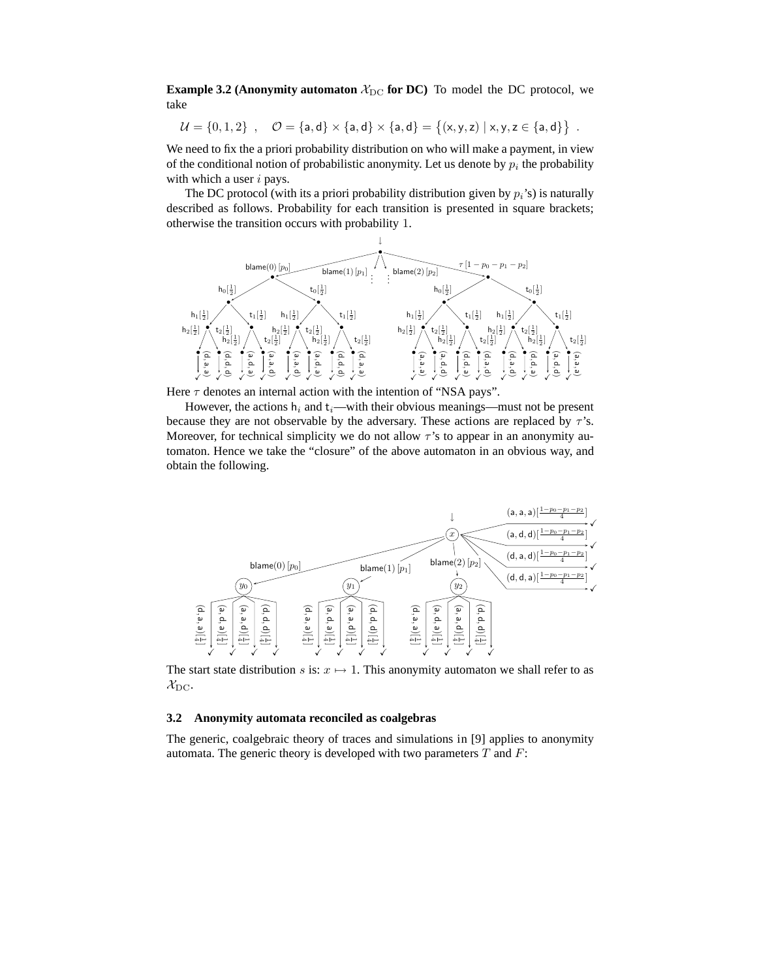**Example 3.2 (Anonymity automaton**  $X_{DC}$  **for DC)** To model the DC protocol, we take

$$
\mathcal{U} = \{0, 1, 2\} \;\; , \quad \mathcal{O} = \{a, d\} \times \{a, d\} \times \{a, d\} = \left\{ (x, y, z) \; | \; x, y, z \in \{a, d\} \right\} \; .
$$

We need to fix the a priori probability distribution on who will make a payment, in view of the conditional notion of probabilistic anonymity. Let us denote by  $p_i$  the probability with which a user  $i$  pays.

The DC protocol (with its a priori probability distribution given by  $p_i$ 's) is naturally described as follows. Probability for each transition is presented in square brackets; otherwise the transition occurs with probability 1.



Here  $\tau$  denotes an internal action with the intention of "NSA pays".

However, the actions  $h_i$  and  $t_i$ —with their obvious meanings—must not be present because they are not observable by the adversary. These actions are replaced by  $\tau$ 's. Moreover, for technical simplicity we do not allow  $\tau$ 's to appear in an anonymity automaton. Hence we take the "closure" of the above automaton in an obvious way, and obtain the following.



The start state distribution s is:  $x \mapsto 1$ . This anonymity automaton we shall refer to as  $\mathcal{X}_{\text{DC}}$ .

#### **3.2 Anonymity automata reconciled as coalgebras**

The generic, coalgebraic theory of traces and simulations in [9] applies to anonymity automata. The generic theory is developed with two parameters  $T$  and  $F$ :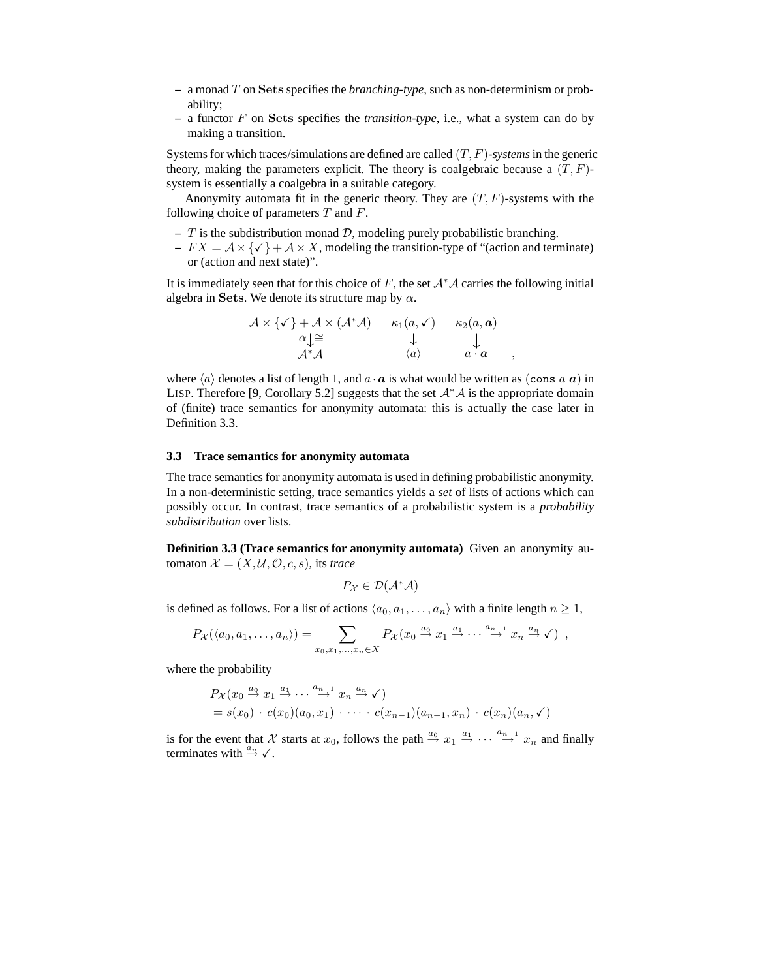- **–** a monad T on Sets specifies the *branching-type*, such as non-determinism or probability;
- **–** a functor F on Sets specifies the *transition-type*, i.e., what a system can do by making a transition.

Systems for which traces/simulations are defined are called (T, F)*-systems*in the generic theory, making the parameters explicit. The theory is coalgebraic because a  $(T, F)$ system is essentially a coalgebra in a suitable category.

Anonymity automata fit in the generic theory. They are  $(T, F)$ -systems with the following choice of parameters  $T$  and  $F$ .

- $-$  T is the subdistribution monad  $D$ , modeling purely probabilistic branching.
- $-FX = \mathcal{A} \times \{\checkmark\} + \mathcal{A} \times X$ , modeling the transition-type of "(action and terminate) or (action and next state)".

It is immediately seen that for this choice of F, the set  $A^*A$  carries the following initial algebra in Sets. We denote its structure map by  $\alpha$ .

| $\mathcal{A} \times {\mathcal{C}} + \mathcal{A} \times (\mathcal{A}^*\mathcal{A})$ | $\kappa_1(a,\checkmark)$ | $\kappa_2(a, a)$ |  |
|------------------------------------------------------------------------------------|--------------------------|------------------|--|
| $\alpha \leq$                                                                      |                          |                  |  |
| $\mathcal{A}^*\mathcal{A}$                                                         | $\langle a \rangle$      | $a \cdot a$      |  |

where  $\langle a \rangle$  denotes a list of length 1, and  $a \cdot a$  is what would be written as (cons a a) in LISP. Therefore [9, Corollary 5.2] suggests that the set  $A^*A$  is the appropriate domain of (finite) trace semantics for anonymity automata: this is actually the case later in Definition 3.3.

#### **3.3 Trace semantics for anonymity automata**

The trace semantics for anonymity automata is used in defining probabilistic anonymity. In a non-deterministic setting, trace semantics yields a *set* of lists of actions which can possibly occur. In contrast, trace semantics of a probabilistic system is a *probability subdistribution* over lists.

**Definition 3.3 (Trace semantics for anonymity automata)** Given an anonymity automaton  $\mathcal{X} = (X, \mathcal{U}, \mathcal{O}, c, s)$ , its *trace* 

$$
P_{\mathcal{X}} \in \mathcal{D}(\mathcal{A}^*\mathcal{A})
$$

is defined as follows. For a list of actions  $\langle a_0, a_1, \ldots, a_n \rangle$  with a finite length  $n \geq 1$ ,

$$
P_{\mathcal{X}}(\langle a_0, a_1, \ldots, a_n \rangle) = \sum_{x_0, x_1, \ldots, x_n \in X} P_{\mathcal{X}}(x_0 \stackrel{a_0}{\rightarrow} x_1 \stackrel{a_1}{\rightarrow} \cdots \stackrel{a_{n-1}}{\rightarrow} x_n \stackrel{a_n}{\rightarrow} \checkmark) ,
$$

where the probability

$$
P_{\mathcal{X}}(x_0 \stackrel{a_0}{\rightarrow} x_1 \stackrel{a_1}{\rightarrow} \cdots \stackrel{a_{n-1}}{\rightarrow} x_n \stackrel{a_n}{\rightarrow} \checkmark)
$$
  
=  $s(x_0) \cdot c(x_0)(a_0, x_1) \cdot \cdots \cdot c(x_{n-1})(a_{n-1}, x_n) \cdot c(x_n)(a_n, \checkmark)$ 

is for the event that X starts at  $x_0$ , follows the path  $\stackrel{a_0}{\rightarrow} x_1 \stackrel{a_1}{\rightarrow} \cdots \stackrel{a_{n-1}}{\rightarrow} x_n$  and finally terminates with  $\stackrel{a_n}{\rightarrow} \checkmark$ .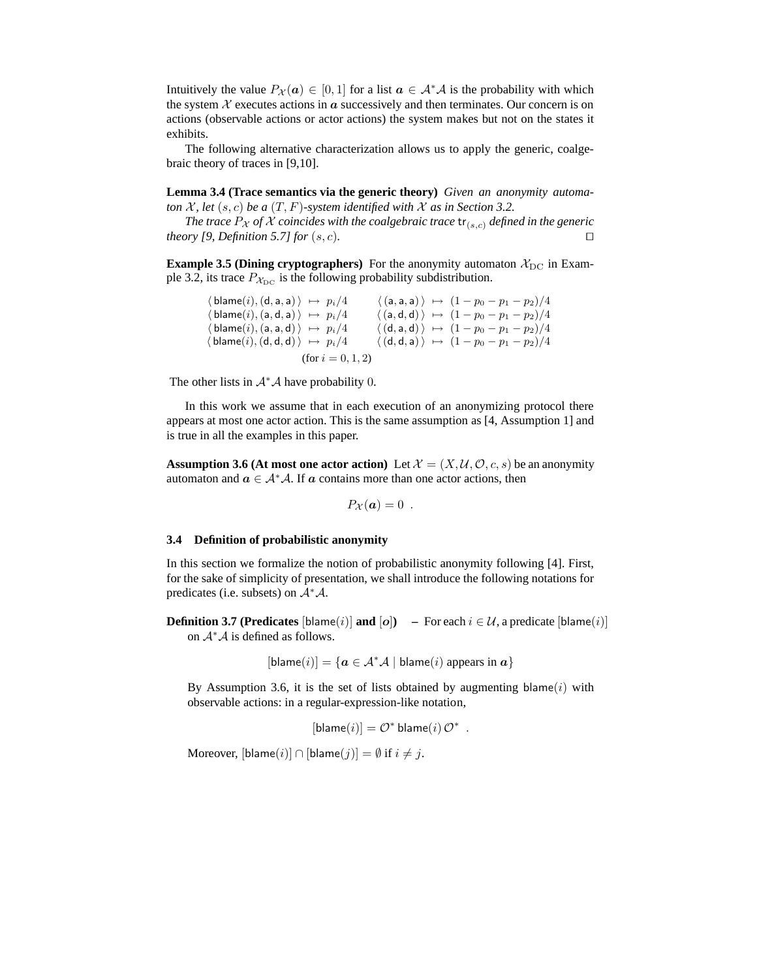Intuitively the value  $P_{\chi}(a) \in [0,1]$  for a list  $a \in A^*A$  is the probability with which the system  $X$  executes actions in  $\alpha$  successively and then terminates. Our concern is on actions (observable actions or actor actions) the system makes but not on the states it exhibits.

The following alternative characterization allows us to apply the generic, coalgebraic theory of traces in [9,10].

**Lemma 3.4 (Trace semantics via the generic theory)** *Given an anonymity automaton*  $X$ *, let*  $(s, c)$  *be a*  $(T, F)$ *-system identified with*  $X$  *as in Section 3.2.* 

*The trace*  $P_X$  *of*  $X$  *coincides with the coalgebraic trace*  $tr_{(s,c)}$  *defined in the generic theory [9, Definition 5.7] for*  $(s, c)$ . □

**Example 3.5 (Dining cryptographers)** For the anonymity automaton  $\mathcal{X}_{\text{DC}}$  in Example 3.2, its trace  $P_{\mathcal{X}_{\text{DC}}}$  is the following probability subdistribution.

$$
\langle \text{blame}(i), (\text{d}, \text{a}, \text{a}) \rangle \mapsto p_i/4 \quad \langle (\text{a}, \text{a}, \text{a}) \rangle \mapsto (1 - p_0 - p_1 - p_2)/4
$$
  
\n
$$
\langle \text{blame}(i), (\text{a}, \text{d}, \text{a}) \rangle \mapsto p_i/4 \quad \langle (\text{a}, \text{d}, \text{d}) \rangle \mapsto (1 - p_0 - p_1 - p_2)/4
$$
  
\n
$$
\langle \text{blame}(i), (\text{a}, \text{a}, \text{d}) \rangle \mapsto p_i/4 \quad \langle (\text{d}, \text{a}, \text{d}) \rangle \mapsto (1 - p_0 - p_1 - p_2)/4
$$
  
\n
$$
\langle \text{blame}(i), (\text{d}, \text{d}, \text{d}) \rangle \mapsto p_i/4 \quad \langle (\text{d}, \text{d}, \text{a}) \rangle \mapsto (1 - p_0 - p_1 - p_2)/4
$$
  
\n
$$
\langle \text{for } i = 0, 1, 2 \rangle
$$

The other lists in  $A^*A$  have probability 0.

In this work we assume that in each execution of an anonymizing protocol there appears at most one actor action. This is the same assumption as [4, Assumption 1] and is true in all the examples in this paper.

**Assumption 3.6 (At most one actor action)** Let  $\mathcal{X} = (X, \mathcal{U}, \mathcal{O}, c, s)$  be an anonymity automaton and  $a \in A^*A$ . If a contains more than one actor actions, then

$$
P_{\mathcal{X}}(\boldsymbol{a})=0.
$$

## **3.4 Definition of probabilistic anonymity**

In this section we formalize the notion of probabilistic anonymity following [4]. First, for the sake of simplicity of presentation, we shall introduce the following notations for predicates (i.e. subsets) on  $A^*A$ .

**Definition 3.7 (Predicates** [blame(i)] **and**  $[o]$  – For each  $i \in U$ , a predicate [blame(i)] on  $A^*A$  is defined as follows.

[blame(*i*)] = {
$$
\mathbf{a} \in A^*A
$$
 | blame(*i*) appears in  $\mathbf{a}$ }

By Assumption 3.6, it is the set of lists obtained by augmenting blame $(i)$  with observable actions: in a regular-expression-like notation,

$$
[\text{blame}(i)]=\mathcal{O}^*\,\text{blame}(i)\,\mathcal{O}^*
$$

.

Moreover,  $[\text{blame}(i)] \cap [\text{blame}(j)] = \emptyset$  if  $i \neq j$ .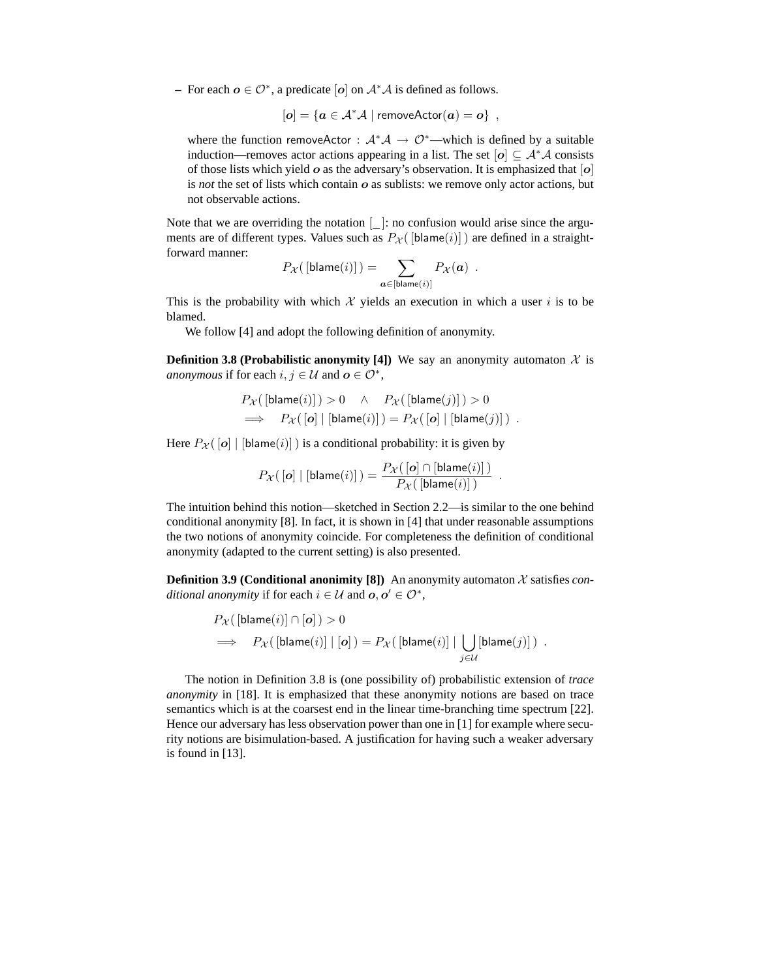**–** For each  $o \in \mathcal{O}^*$ , a predicate [ $o$ ] on  $\mathcal{A}^* \mathcal{A}$  is defined as follows.

$$
[\boldsymbol{o}] = \{\boldsymbol{a} \in \mathcal{A}^*\mathcal{A} \mid \text{removeActor}(\boldsymbol{a}) = \boldsymbol{o}\} \enspace ,
$$

where the function removeActor :  $A^*A \rightarrow O^*$ —which is defined by a suitable induction—removes actor actions appearing in a list. The set  $[o] \subseteq A^*A$  consists of those lists which yield  $o$  as the adversary's observation. It is emphasized that  $[o]$ is *not* the set of lists which contain  $o$  as sublists: we remove only actor actions, but not observable actions.

Note that we are overriding the notation  $\lfloor \cdot \rfloor$ : no confusion would arise since the arguments are of different types. Values such as  $P_{\mathcal{X}}([blame(i)])$  are defined in a straightforward manner:

$$
P_{\mathcal{X}}(\left[\text{blame}(i)\right]) = \sum_{\bm{a} \in [\text{blame}(i)]} P_{\mathcal{X}}(\bm{a}) \enspace .
$$

This is the probability with which  $\mathcal X$  yields an execution in which a user i is to be blamed.

We follow [4] and adopt the following definition of anonymity.

**Definition 3.8 (Probabilistic anonymity [4])** We say an anonymity automaton  $\mathcal{X}$  is *anonymous* if for each  $i, j \in \mathcal{U}$  and  $o \in \mathcal{O}^*$ ,

$$
P_{\mathcal{X}}(\text{[blame}(i)]) > 0 \quad \wedge \quad P_{\mathcal{X}}(\text{[blame}(j)]) > 0
$$
\n
$$
\implies \quad P_{\mathcal{X}}(\text{[o] }|\text{[blame}(i)]) = P_{\mathcal{X}}(\text{[o] }|\text{[blame}(j)]) \ .
$$

Here  $P_{\mathcal{X}}([o] \mid [blame(i)])$  is a conditional probability: it is given by

$$
P_{\mathcal{X}}(\cdot [\mathbf{o}] \mid [\mathsf{blame}(i)]) = \frac{P_{\mathcal{X}}(\cdot [\mathbf{o}] \cap [\mathsf{blame}(i)])}{P_{\mathcal{X}}(\cdot [\mathsf{blame}(i)])} \enspace .
$$

The intuition behind this notion—sketched in Section 2.2—is similar to the one behind conditional anonymity [8]. In fact, it is shown in [4] that under reasonable assumptions the two notions of anonymity coincide. For completeness the definition of conditional anonymity (adapted to the current setting) is also presented.

**Definition 3.9 (Conditional anonimity [8])** An anonymity automaton X satisfies *conditional anonymity* if for each  $i \in \mathcal{U}$  and  $o, o' \in \mathcal{O}^*$ ,

$$
P_{\mathcal{X}}(\text{[blame}(i)] \cap [\mathbf{o}]) > 0
$$
\n
$$
\implies P_{\mathcal{X}}(\text{[blame}(i)] \mid [\mathbf{o}]) = P_{\mathcal{X}}(\text{[blame}(i)] \mid \bigcup_{j \in \mathcal{U}} \text{[blame}(j)] ) .
$$

The notion in Definition 3.8 is (one possibility of) probabilistic extension of *trace anonymity* in [18]. It is emphasized that these anonymity notions are based on trace semantics which is at the coarsest end in the linear time-branching time spectrum [22]. Hence our adversary has less observation power than one in [1] for example where security notions are bisimulation-based. A justification for having such a weaker adversary is found in [13].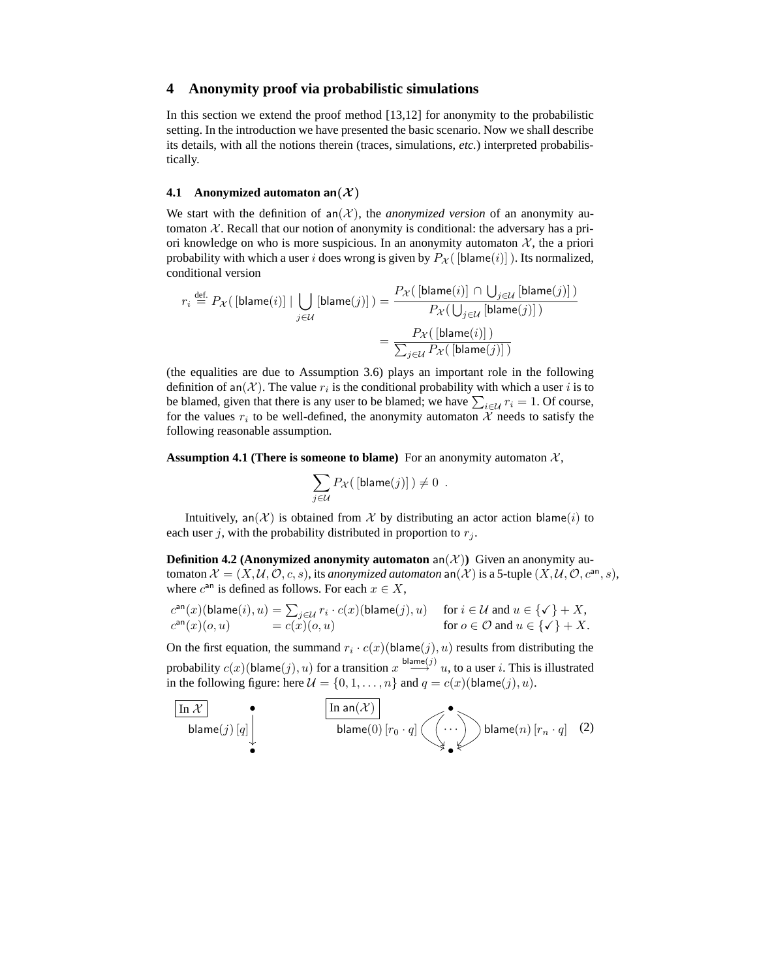## **4 Anonymity proof via probabilistic simulations**

In this section we extend the proof method [13,12] for anonymity to the probabilistic setting. In the introduction we have presented the basic scenario. Now we shall describe its details, with all the notions therein (traces, simulations, *etc.*) interpreted probabilistically.

#### **4.1** Anonymized automaton an $(X)$

We start with the definition of  $an(\mathcal{X})$ , the *anonymized version* of an anonymity automaton  $X$ . Recall that our notion of anonymity is conditional: the adversary has a priori knowledge on who is more suspicious. In an anonymity automaton  $X$ , the a priori probability with which a user i does wrong is given by  $P_{\mathcal{X}}([blame(i)])$ . Its normalized, conditional version

$$
\begin{aligned} r_i \overset{\text{def.}}{=} P_{\mathcal{X}}(\text{[blame}(i)] \mid \bigcup_{j \in \mathcal{U}} \text{[blame}(j)]\text{)} & = \frac{P_{\mathcal{X}}(\text{[blame}(i)] \cap \bigcup_{j \in \mathcal{U}} \text{[blame}(j)]\text{)}}{P_{\mathcal{X}}(\bigcup_{j \in \mathcal{U}} \text{[blame}(j)]\text{)}} \\ & = \frac{P_{\mathcal{X}}(\text{[blame}(i)])}{\sum_{j \in \mathcal{U}} P_{\mathcal{X}}(\text{[blame}(j)])} \end{aligned}
$$

(the equalities are due to Assumption 3.6) plays an important role in the following definition of an $(X)$ . The value  $r_i$  is the conditional probability with which a user i is to be blamed, given that there is any user to be blamed; we have  $\sum_{i \in \mathcal{U}} r_i = 1$ . Of course, for the values  $r_i$  to be well-defined, the anonymity automaton  $\mathcal X$  needs to satisfy the following reasonable assumption.

**Assumption 4.1 (There is someone to blame)** For an anonymity automaton  $X$ ,

$$
\sum_{j\in\mathcal{U}}P_{\mathcal{X}}(\left[\text{blame}(j)\right])\neq 0.
$$

Intuitively,  $an(\mathcal{X})$  is obtained from X by distributing an actor action blame(i) to each user j, with the probability distributed in proportion to  $r_i$ .

**Definition 4.2 (Anonymized anonymity automaton**  $an(\mathcal{X})$ **) Given an anonymity au**tomaton  $\mathcal{X} = (X, \mathcal{U}, \mathcal{O}, c, s)$ , its *anonymized automaton* an(X) is a 5-tuple  $(X, \mathcal{U}, \mathcal{O}, c^{an}, s)$ , where  $c^{an}$  is defined as follows. For each  $x \in X$ ,

$$
c^{\text{an}}(x)(\text{blame}(i), u) = \sum_{j \in \mathcal{U}} r_i \cdot c(x)(\text{blame}(j), u) \quad \text{for } i \in \mathcal{U} \text{ and } u \in \{\checkmark\} + X,
$$
  

$$
c^{\text{an}}(x)(o, u) = c(x)(o, u) \quad \text{for } o \in \mathcal{O} \text{ and } u \in \{\checkmark\} + X.
$$

On the first equation, the summand  $r_i \cdot c(x)$  (blame $(j), u$ ) results from distributing the probability  $c(x)$ (blame $(j), u$ ) for a transition  $x \stackrel{\text{blame}(j)}{\longrightarrow} u$ , to a user i. This is illustrated in the following figure: here  $\mathcal{U} = \{0, 1, \dots, n\}$  and  $q = c(x)(\text{blame}(j), u)$ .

$$
\boxed{\text{In } \mathcal{X} \text{blame}(j) [q] \begin{bmatrix} \mathbf{I} \mathbf{n} \text{ an}(\mathcal{X}) & \mathbf{I} \text{hame}(0) \left[ r_0 \cdot q \right] \end{bmatrix} \begin{bmatrix} \mathbf{I} \mathbf{n} \text{ am}(\mathcal{X}) & \mathbf{I} \text{hame}(n) \left[ r_n \cdot q \right] \end{bmatrix} \quad (2)}
$$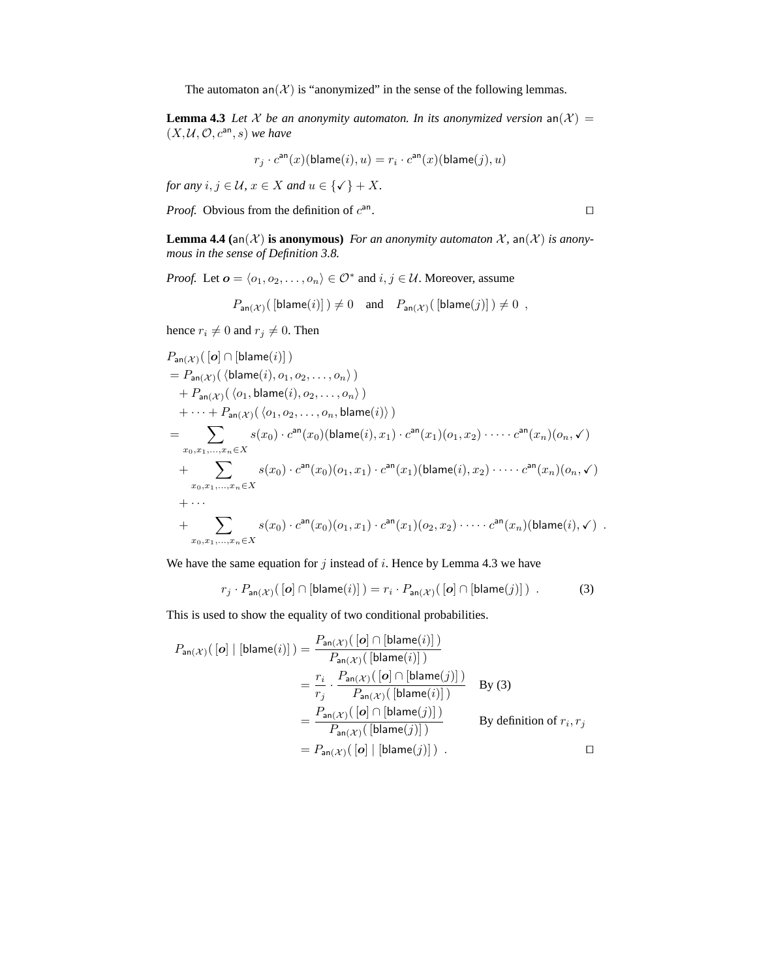The automaton an( $X$ ) is "anonymized" in the sense of the following lemmas.

**Lemma 4.3** *Let*  $\mathcal X$  *be an anonymity automaton. In its anonymized version*  $\text{an}(\mathcal X) =$  $(X, \mathcal{U}, \mathcal{O}, c^{\text{an}}, s)$  *we have* 

$$
r_j \cdot c^{\text{an}}(x)(\text{blame}(i),u) = r_i \cdot c^{\text{an}}(x)(\text{blame}(j),u)
$$

*for any*  $i, j \in \mathcal{U}$ ,  $x \in X$  *and*  $u \in \{\checkmark\} + X$ .

*Proof.* Obvious from the definition of  $c^{an}$ 

**Lemma 4.4** (an(X) **is anonymous**) *For an anonymity automaton* X, an(X) *is anonymous in the sense of Definition 3.8.*

*Proof.* Let  $o = \langle o_1, o_2, \dots, o_n \rangle \in \mathcal{O}^*$  and  $i, j \in \mathcal{U}$ . Moreover, assume

 $P_{\text{an}(\mathcal{X})}(\text{[blame}(i)]) \neq 0 \text{ and } P_{\text{an}(\mathcal{X})}(\text{[blame}(j)]) \neq 0 ,$ 

hence  $r_i \neq 0$  and  $r_j \neq 0$ . Then

$$
P_{an(X)}([o] \cap [blame(i)])
$$
  
\n
$$
= P_{an(X)}(\langle blame(i), o_1, o_2, \ldots, o_n \rangle)
$$
  
\n
$$
+ P_{an(X)}(\langle o_1, blame(i), o_2, \ldots, o_n \rangle)
$$
  
\n
$$
+ \cdots + P_{an(X)}(\langle o_1, olame(i), o_2, \ldots, o_n, blame(i) \rangle)
$$
  
\n
$$
= \sum_{x_0, x_1, \ldots, x_n \in X} s(x_0) \cdot c^{an}(x_0)(blame(i), x_1) \cdot c^{an}(x_1)(o_1, x_2) \cdot \cdots \cdot c^{an}(x_n)(o_n, \checkmark)
$$
  
\n
$$
+ \sum_{x_0, x_1, \ldots, x_n \in X} s(x_0) \cdot c^{an}(x_0)(o_1, x_1) \cdot c^{an}(x_1)(blame(i), x_2) \cdot \cdots \cdot c^{an}(x_n)(o_n, \checkmark)
$$
  
\n
$$
+ \cdots
$$
  
\n
$$
+ \sum_{x_0, x_1, \ldots, x_n \in X} s(x_0) \cdot c^{an}(x_0)(o_1, x_1) \cdot c^{an}(x_1)(o_2, x_2) \cdot \cdots \cdot c^{an}(x_n)(blame(i), \checkmark)
$$
.

We have the same equation for  $j$  instead of  $i$ . Hence by Lemma 4.3 we have

$$
r_j \cdot P_{\mathsf{an}(\mathcal{X})}([\mathbf{o}] \cap [\mathsf{blame}(i)]) = r_i \cdot P_{\mathsf{an}(\mathcal{X})}([\mathbf{o}] \cap [\mathsf{blame}(j)]) \tag{3}
$$

This is used to show the equality of two conditional probabilities.

$$
P_{\text{an}(\mathcal{X})}([\textbf{o}] | [\text{blame}(i)]) = \frac{P_{\text{an}(\mathcal{X})}([\textbf{o}] \cap [\text{blame}(i)])}{P_{\text{an}(\mathcal{X})}([\text{blame}(i)])}
$$
  
\n
$$
= \frac{r_i}{r_j} \cdot \frac{P_{\text{an}(\mathcal{X})}([\textbf{o}] \cap [\text{blame}(j)])}{P_{\text{an}(\mathcal{X})}([\text{blame}(i)])}
$$
 By (3)  
\n
$$
= \frac{P_{\text{an}(\mathcal{X})}([\textbf{o}] \cap [\text{blame}(j)])}{P_{\text{an}(\mathcal{X})}([\text{blame}(j)])}
$$
 By definition of  $r_i, r_j$   
\n
$$
= P_{\text{an}(\mathcal{X})}([\textbf{o}] | [\text{blame}(j)])
$$

. ⊓⊔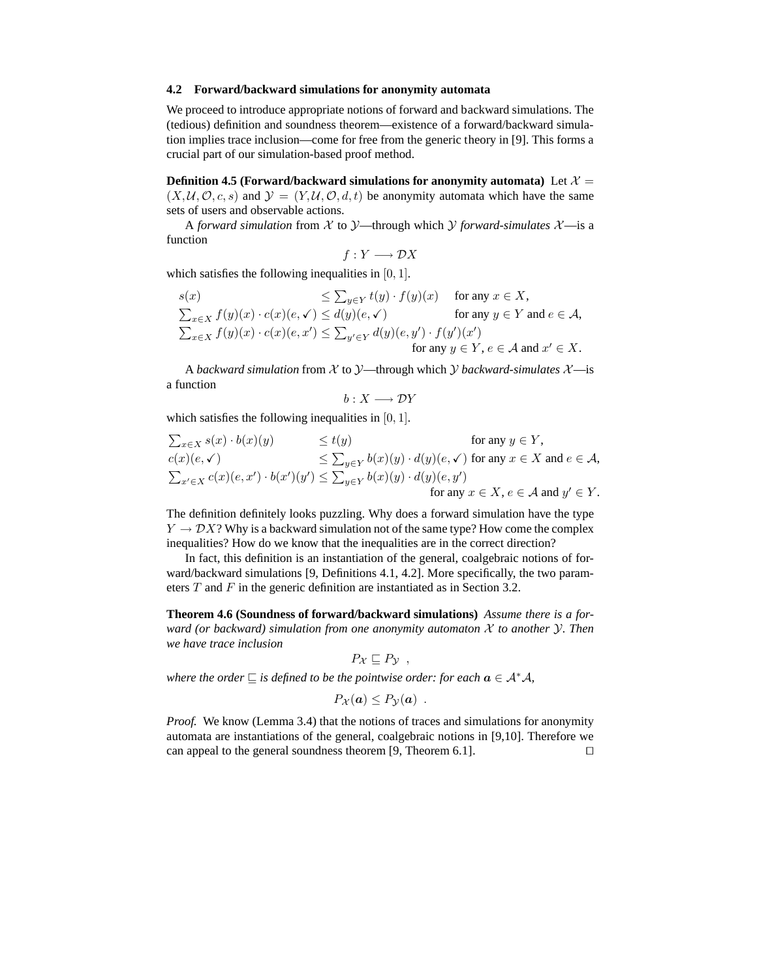#### **4.2 Forward/backward simulations for anonymity automata**

We proceed to introduce appropriate notions of forward and backward simulations. The (tedious) definition and soundness theorem—existence of a forward/backward simulation implies trace inclusion—come for free from the generic theory in [9]. This forms a crucial part of our simulation-based proof method.

**Definition 4.5 (Forward/backward simulations for anonymity automata)** Let  $\mathcal{X} =$  $(X, U, \mathcal{O}, c, s)$  and  $\mathcal{Y} = (Y, U, \mathcal{O}, d, t)$  be anonymity automata which have the same sets of users and observable actions.

A *forward simulation* from  $X$  to  $Y$ —through which  $Y$  *forward-simulates*  $X$ —is a function

$$
f:Y\longrightarrow \mathcal{D}X
$$

which satisfies the following inequalities in [0, 1].

$$
s(x) \leq \sum_{y \in Y} t(y) \cdot f(y)(x) \quad \text{for any } x \in X,
$$
  
\n
$$
\sum_{x \in X} f(y)(x) \cdot c(x)(e, \checkmark) \leq d(y)(e, \checkmark) \quad \text{for any } y \in Y \text{ and } e \in \mathcal{A},
$$
  
\n
$$
\sum_{x \in X} f(y)(x) \cdot c(x)(e, x') \leq \sum_{y' \in Y} d(y)(e, y') \cdot f(y')(x')
$$
  
\nfor any  $y \in Y, e \in \mathcal{A}$  and  $x' \in X$ .

A *backward simulation* from X to Y—through which Y *backward-simulates* X—is a function

$$
b:X\longrightarrow \mathcal{D}Y
$$

which satisfies the following inequalities in  $[0, 1]$ .

$$
\begin{array}{ll}\sum_{x\in X}s(x)\cdot b(x)(y) &\leq t(y) &\text{for any }y\in Y,\\ c(x)(e,\checkmark) &\leq \sum_{y\in Y}b(x)(y)\cdot d(y)(e,\checkmark) &\text{for any }x\in X\text{ and }e\in \mathcal{A},\\ \sum_{x'\in X}c(x)(e,x')\cdot b(x')(y')\leq \sum_{y\in Y}b(x)(y)\cdot d(y)(e,y') &\text{for any }x\in X,\,e\in \mathcal{A}\text{ and }y'\in Y.\end{array}
$$

The definition definitely looks puzzling. Why does a forward simulation have the type  $Y \to \mathcal{D}X$ ? Why is a backward simulation not of the same type? How come the complex inequalities? How do we know that the inequalities are in the correct direction?

In fact, this definition is an instantiation of the general, coalgebraic notions of forward/backward simulations [9, Definitions 4.1, 4.2]. More specifically, the two parameters  $T$  and  $F$  in the generic definition are instantiated as in Section 3.2.

**Theorem 4.6 (Soundness of forward/backward simulations)** *Assume there is a forward (or backward) simulation from one anonymity automaton* X *to another* Y*. Then we have trace inclusion*

$$
P_{\mathcal{X}} \sqsubseteq P_{\mathcal{Y}} ,
$$

*where the order*  $\sqsubseteq$  *is defined to be the pointwise order: for each*  $\mathbf{a} \in A^*A$ *,* 

$$
P_{\mathcal{X}}(\boldsymbol{a}) \leq P_{\mathcal{Y}}(\boldsymbol{a}) \enspace .
$$

*Proof.* We know (Lemma 3.4) that the notions of traces and simulations for anonymity automata are instantiations of the general, coalgebraic notions in [9,10]. Therefore we can appeal to the general soundness theorem [9, Theorem 6.1]. □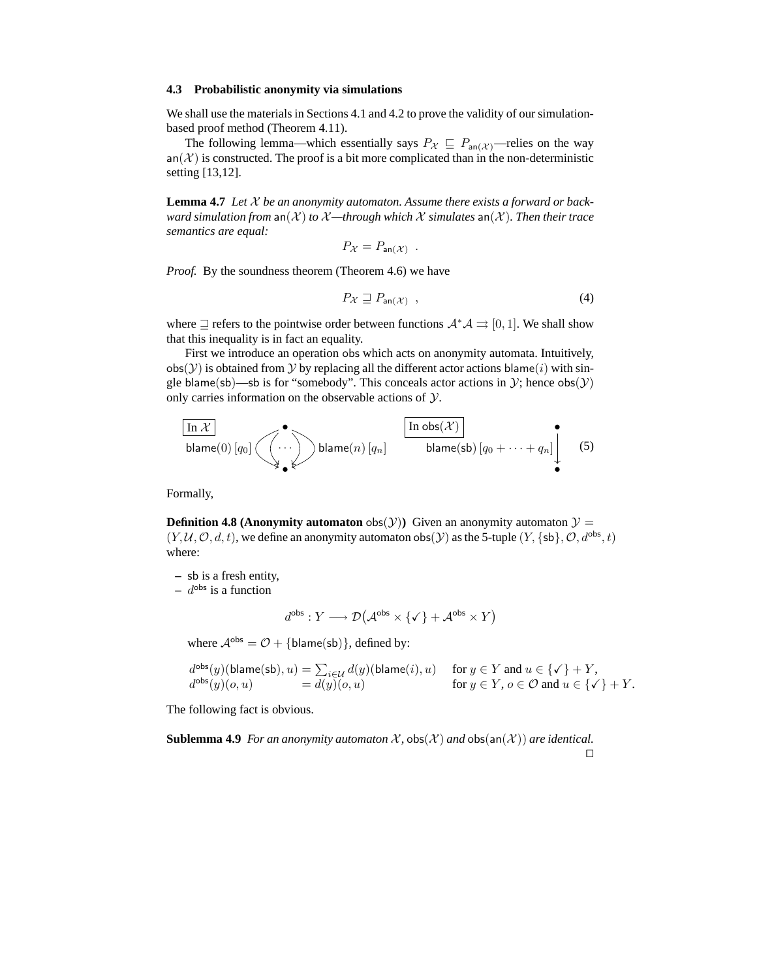#### **4.3 Probabilistic anonymity via simulations**

We shall use the materials in Sections 4.1 and 4.2 to prove the validity of our simulationbased proof method (Theorem 4.11).

The following lemma—which essentially says  $P_{\mathcal{X}} \subseteq P_{\text{an}(\mathcal{X})}$ —relies on the way  $an(\mathcal{X})$  is constructed. The proof is a bit more complicated than in the non-deterministic setting [13,12].

**Lemma 4.7** *Let* X *be an anonymity automaton. Assume there exists a forward or backward simulation from*  $\text{an}(\mathcal{X})$  *to*  $\mathcal{X}$ —through which  $\mathcal{X}$  *simulates*  $\text{an}(\mathcal{X})$ *. Then their trace semantics are equal:*

$$
P_{\mathcal{X}} = P_{\mathsf{an}(\mathcal{X})} \enspace .
$$

*Proof.* By the soundness theorem (Theorem 4.6) we have

$$
P_{\mathcal{X}} \sqsupseteq P_{\mathsf{an}(\mathcal{X})} \quad , \tag{4}
$$

where  $\supseteq$  refers to the pointwise order between functions  $\mathcal{A}^*\mathcal{A} \rightrightarrows [0,1]$ . We shall show that this inequality is in fact an equality.

First we introduce an operation obs which acts on anonymity automata. Intuitively,  $obs(\mathcal{Y})$  is obtained from  $\mathcal Y$  by replacing all the different actor actions blame(i) with single blame(sb)—sb is for "somebody". This conceals actor actions in  $\mathcal{Y}$ ; hence obs( $\mathcal{Y}$ ) only carries information on the observable actions of  $\mathcal{Y}$ .

$$
\boxed{\text{In } \mathcal{X} \text{blame}(0) [q_0] \begin{pmatrix} \cdot & \cdot & \cdot \\ \cdot & \cdot & \cdot \\ \cdot & \cdot & \cdot \end{pmatrix} \text{blame}(n) [q_n]} \qquad \boxed{\text{In obs}(\mathcal{X}) \text{blame}(\text{sb}) [q_0 + \dots + q_n] \begin{pmatrix} \cdot & \cdot & \cdot \\ \cdot & \cdot & \cdot \\ \cdot & \cdot & \cdot \end{pmatrix} \tag{5}
$$

Formally,

**Definition 4.8 (Anonymity automaton** obs( $\mathcal{Y}$ )) Given an anonymity automaton  $\mathcal{Y} =$  $(Y, U, O, d, t)$ , we define an anonymity automaton obs(Y) as the 5-tuple  $(Y, \{sb\}, O, d^{obs}, t)$ where:

**–** sb is a fresh entity,

 $- d^{\text{obs}}$  is a function

$$
d^{\text{obs}}: Y \longrightarrow \mathcal{D}(\mathcal{A}^{\text{obs}} \times \{\checkmark\} + \mathcal{A}^{\text{obs}} \times Y)
$$

where  $\mathcal{A}^{obs} = \mathcal{O} + \{\text{blame}(\text{sb})\}\text{, defined by:}$ 

$$
d^{\text{obs}}(y)(\text{blame}(\text{sb}), u) = \sum_{i \in \mathcal{U}} d(y)(\text{blame}(i), u) \quad \text{for } y \in Y \text{ and } u \in \{\checkmark\} + Y,
$$
  

$$
d^{\text{obs}}(y)(o, u) = d(y)(o, u) \quad \text{for } y \in Y, o \in \mathcal{O} \text{ and } u \in \{\checkmark\} + Y.
$$

The following fact is obvious.

**Sublemma 4.9** *For an anonymity automaton*  $\mathcal{X}$ ,  $obs(\mathcal{X})$  *and*  $obs(an(\mathcal{X}))$  *are identical.* ⊓⊔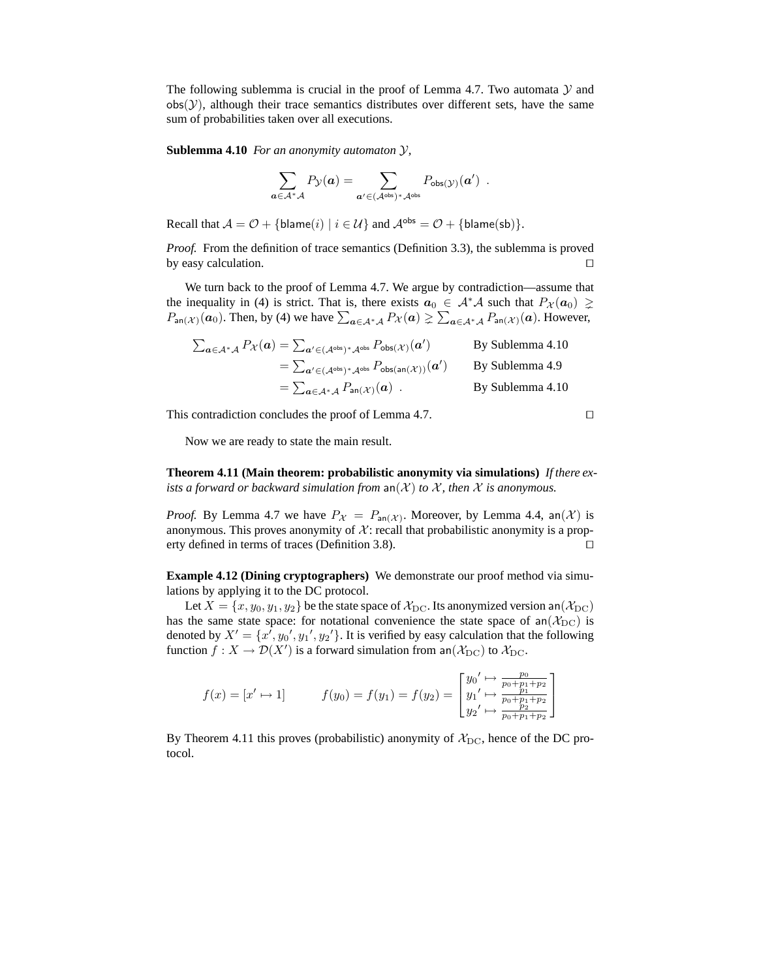The following sublemma is crucial in the proof of Lemma 4.7. Two automata  $\mathcal Y$  and  $obs(y)$ , although their trace semantics distributes over different sets, have the same sum of probabilities taken over all executions.

**Sublemma 4.10** *For an anonymity automaton* Y*,*

$$
\sum_{\mathbf{a}\in\mathcal{A}^*\mathcal{A}}P_{\mathcal{Y}}(\mathbf{a})=\sum_{\mathbf{a}'\in(\mathcal{A}^{\text{obs}})^*\mathcal{A}^{\text{obs}}}P_{\text{obs}(\mathcal{Y})}(\mathbf{a}')\enspace.
$$

Recall that  $A = \mathcal{O} + \{\text{blame}(i) \mid i \in \mathcal{U}\}\$ and  $A^{\text{obs}} = \mathcal{O} + \{\text{blame}(\text{sb})\}.$ 

*Proof.* From the definition of trace semantics (Definition 3.3), the sublemma is proved by easy calculation. ⊓⊔

We turn back to the proof of Lemma 4.7. We argue by contradiction—assume that the inequality in (4) is strict. That is, there exists  $a_0 \in A^*A$  such that  $P_{\mathcal{X}}(a_0) \geq$  $P_{\text{an}(\mathcal{X})}(\boldsymbol{a}_0)$ . Then, by (4) we have  $\sum_{\boldsymbol{a}\in\mathcal{A}^*\mathcal{A}}P_{\mathcal{X}}(\boldsymbol{a})\geq \sum_{\boldsymbol{a}\in\mathcal{A}^*\mathcal{A}}P_{\text{an}(\mathcal{X})}(\boldsymbol{a})$ . However,

| $\sum_{\bm{a}\in\mathcal{A}^*\mathcal{A}}P_{\mathcal{X}}(\bm{a})=\sum_{\bm{a}'\in(\mathcal{A}^{\text{obs}})^*\mathcal{A}^{\text{obs}}}P_{\text{obs}(\mathcal{X})}(\bm{a}')$ | By Sublemma 4.10 |
|-----------------------------------------------------------------------------------------------------------------------------------------------------------------------------|------------------|
| $= \sum_{\mathbf{a}' \in (\mathcal{A}^{\text{obs}})^* \mathcal{A}^{\text{obs}}} P_{\text{obs}(\text{an}(\mathcal{X}))}(\mathbf{a}')$                                        | By Sublemma 4.9  |
| $=\sum_{\bm{a}\in\mathcal{A}^*\mathcal{A}}P_{\mathsf{an}(\mathcal{X})}(\bm{a})$ .                                                                                           | By Sublemma 4.10 |

This contradiction concludes the proof of Lemma 4.7. □

Now we are ready to state the main result.

**Theorem 4.11 (Main theorem: probabilistic anonymity via simulations)** *If there exists a forward or backward simulation from*  $\text{an}(\mathcal{X})$  *to*  $\mathcal{X}$ *, then*  $\mathcal{X}$  *is anonymous.* 

*Proof.* By Lemma 4.7 we have  $P_{\mathcal{X}} = P_{\text{an}(\mathcal{X})}$ . Moreover, by Lemma 4.4, an $(\mathcal{X})$  is anonymous. This proves anonymity of  $X$ : recall that probabilistic anonymity is a property defined in terms of traces (Definition 3.8). ⊓⊔

**Example 4.12 (Dining cryptographers)** We demonstrate our proof method via simulations by applying it to the DC protocol.

Let  $X = \{x, y_0, y_1, y_2\}$  be the state space of  $\mathcal{X}_{\text{DC}}$ . Its anonymized version an $(\mathcal{X}_{\text{DC}})$ has the same state space: for notational convenience the state space of  $an(\mathcal{X}_{\text{DC}})$  is denoted by  $X' = \{x', y_0', y_1', y_2'\}$ . It is verified by easy calculation that the following function  $f: X \to \mathcal{D}(X')$  is a forward simulation from an $(\mathcal{X}_{\text{DC}})$  to  $\mathcal{X}_{\text{DC}}$ .

$$
f(x) = [x' \mapsto 1] \qquad f(y_0) = f(y_1) = f(y_2) = \begin{bmatrix} y_0' \mapsto \frac{p_0}{p_0 + p_1 + p_2} \\ y_1' \mapsto \frac{p_1}{p_0 + p_1 + p_2} \\ y_2' \mapsto \frac{p_2}{p_0 + p_1 + p_2} \end{bmatrix}
$$

By Theorem 4.11 this proves (probabilistic) anonymity of  $\mathcal{X}_{\text{DC}}$ , hence of the DC protocol.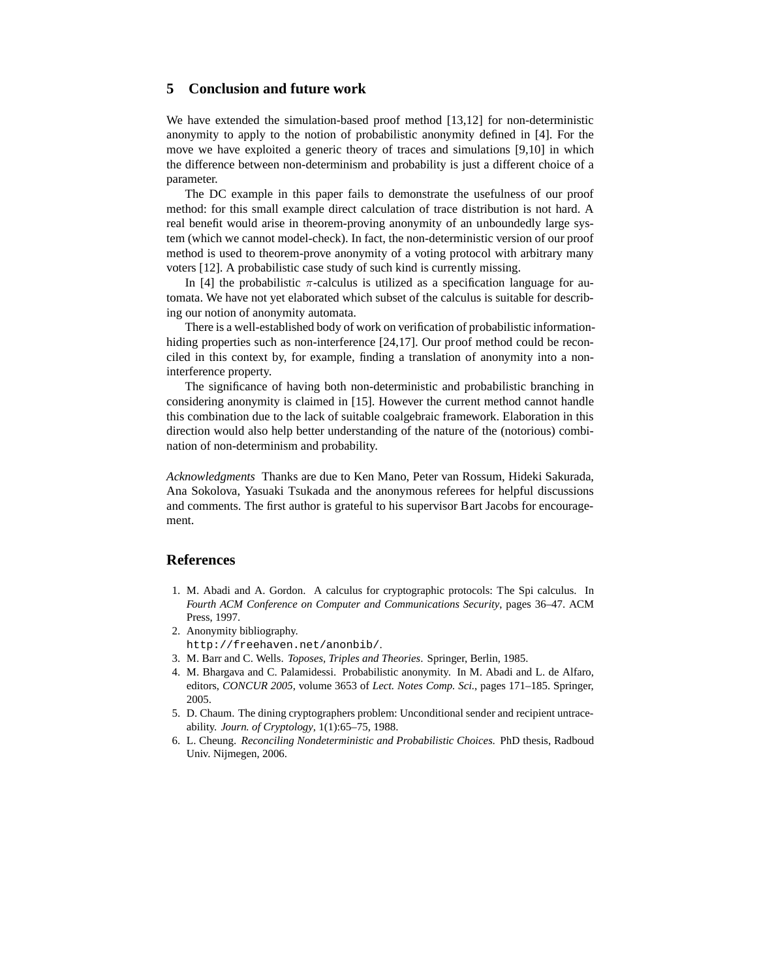## **5 Conclusion and future work**

We have extended the simulation-based proof method [13,12] for non-deterministic anonymity to apply to the notion of probabilistic anonymity defined in [4]. For the move we have exploited a generic theory of traces and simulations [9,10] in which the difference between non-determinism and probability is just a different choice of a parameter.

The DC example in this paper fails to demonstrate the usefulness of our proof method: for this small example direct calculation of trace distribution is not hard. A real benefit would arise in theorem-proving anonymity of an unboundedly large system (which we cannot model-check). In fact, the non-deterministic version of our proof method is used to theorem-prove anonymity of a voting protocol with arbitrary many voters [12]. A probabilistic case study of such kind is currently missing.

In [4] the probabilistic  $\pi$ -calculus is utilized as a specification language for automata. We have not yet elaborated which subset of the calculus is suitable for describing our notion of anonymity automata.

There is a well-established body of work on verification of probabilistic informationhiding properties such as non-interference [24,17]. Our proof method could be reconciled in this context by, for example, finding a translation of anonymity into a noninterference property.

The significance of having both non-deterministic and probabilistic branching in considering anonymity is claimed in [15]. However the current method cannot handle this combination due to the lack of suitable coalgebraic framework. Elaboration in this direction would also help better understanding of the nature of the (notorious) combination of non-determinism and probability.

*Acknowledgments* Thanks are due to Ken Mano, Peter van Rossum, Hideki Sakurada, Ana Sokolova, Yasuaki Tsukada and the anonymous referees for helpful discussions and comments. The first author is grateful to his supervisor Bart Jacobs for encouragement.

## **References**

- 1. M. Abadi and A. Gordon. A calculus for cryptographic protocols: The Spi calculus. In *Fourth ACM Conference on Computer and Communications Security*, pages 36–47. ACM Press, 1997.
- 2. Anonymity bibliography. http://freehaven.net/anonbib/.
- 3. M. Barr and C. Wells. *Toposes, Triples and Theories*. Springer, Berlin, 1985.
- 4. M. Bhargava and C. Palamidessi. Probabilistic anonymity. In M. Abadi and L. de Alfaro, editors, *CONCUR 2005*, volume 3653 of *Lect. Notes Comp. Sci.*, pages 171–185. Springer, 2005.
- 5. D. Chaum. The dining cryptographers problem: Unconditional sender and recipient untraceability. *Journ. of Cryptology*, 1(1):65–75, 1988.
- 6. L. Cheung. *Reconciling Nondeterministic and Probabilistic Choices*. PhD thesis, Radboud Univ. Nijmegen, 2006.